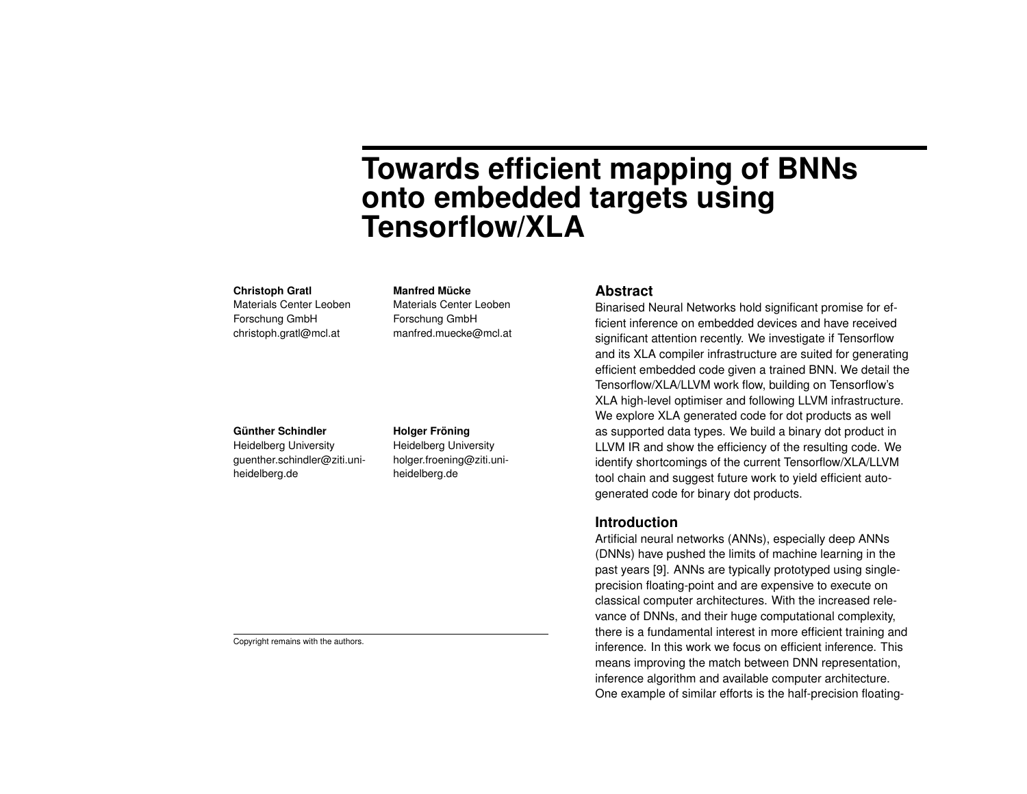# **Towards efficient mapping of BNNs onto embedded targets using Tensorflow/XLA**

#### **Christoph Gratl**

Materials Center Leoben Forschung GmbH christoph.gratl@mcl.at

#### **Manfred Mücke**

Materials Center Leoben Forschung GmbH manfred.muecke@mcl.at

# **Günther Schindler**

Heidelberg University guenther.schindler@ziti.uniheidelberg.de

#### **Holger Fröning**

Heidelberg University holger.froening@ziti.uniheidelberg.de

#### **Abstract**

Binarised Neural Networks hold significant promise for efficient inference on embedded devices and have received significant attention recently. We investigate if Tensorflow and its XLA compiler infrastructure are suited for generating efficient embedded code given a trained BNN. We detail the Tensorflow/XLA/LLVM work flow, building on Tensorflow's XLA high-level optimiser and following LLVM infrastructure. We explore XLA generated code for dot products as well as supported data types. We build a binary dot product in LLVM IR and show the efficiency of the resulting code. We identify shortcomings of the current Tensorflow/XLA/LLVM tool chain and suggest future work to yield efficient autogenerated code for binary dot products.

## **Introduction**

Artificial neural networks (ANNs), especially deep ANNs (DNNs) have pushed the limits of machine learning in the past years [9]. ANNs are typically prototyped using singleprecision floating-point and are expensive to execute on classical computer architectures. With the increased relevance of DNNs, and their huge computational complexity, there is a fundamental interest in more efficient training and inference. In this work we focus on efficient inference. This means improving the match between DNN representation, inference algorithm and available computer architecture. One example of similar efforts is the half-precision floating-

Copyright remains with the authors.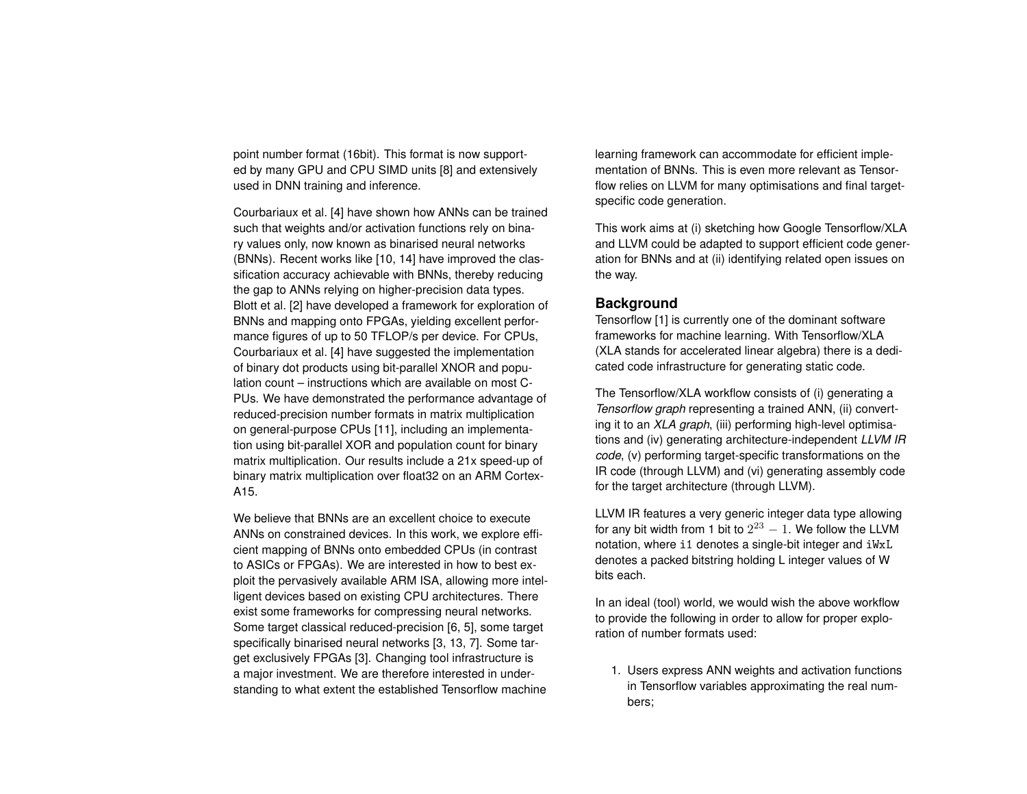point number format (16bit). This format is now supported by many GPU and CPU SIMD units [8] and extensively used in DNN training and inference.

Courbariaux et al. [4] have shown how ANNs can be trained such that weights and/or activation functions rely on binary values only, now known as binarised neural networks (BNNs). Recent works like [10, 14] have improved the classification accuracy achievable with BNNs, thereby reducing the gap to ANNs relying on higher-precision data types. Blott et al. [2] have developed a framework for exploration of BNNs and mapping onto FPGAs, yielding excellent performance figures of up to 50 TFLOP/s per device. For CPUs, Courbariaux et al. [4] have suggested the implementation of binary dot products using bit-parallel XNOR and population count – instructions which are available on most C-PUs. We have demonstrated the performance advantage of reduced-precision number formats in matrix multiplication on general-purpose CPUs [11], including an implementation using bit-parallel XOR and population count for binary matrix multiplication. Our results include a 21x speed-up of binary matrix multiplication over float32 on an ARM Cortex-A15.

We believe that BNNs are an excellent choice to execute ANNs on constrained devices. In this work, we explore efficient mapping of BNNs onto embedded CPUs (in contrast to ASICs or FPGAs). We are interested in how to best exploit the pervasively available ARM ISA, allowing more intelligent devices based on existing CPU architectures. There exist some frameworks for compressing neural networks. Some target classical reduced-precision [6, 5], some target specifically binarised neural networks [3, 13, 7]. Some target exclusively FPGAs [3]. Changing tool infrastructure is a major investment. We are therefore interested in understanding to what extent the established Tensorflow machine

learning framework can accommodate for efficient implementation of BNNs. This is even more relevant as Tensorflow relies on LLVM for many optimisations and final targetspecific code generation.

This work aims at (i) sketching how Google Tensorflow/XLA and LLVM could be adapted to support efficient code generation for BNNs and at (ii) identifying related open issues on the way.

# **Background**

Tensorflow [1] is currently one of the dominant software frameworks for machine learning. With Tensorflow/XLA (XLA stands for accelerated linear algebra) there is a dedicated code infrastructure for generating static code.

The Tensorflow/XLA workflow consists of (i) generating a *Tensorflow graph* representing a trained ANN, (ii) converting it to an *XLA graph*, (iii) performing high-level optimisations and (iv) generating architecture-independent *LLVM IR code*, (v) performing target-specific transformations on the IR code (through LLVM) and (vi) generating assembly code for the target architecture (through LLVM).

LLVM IR features a very generic integer data type allowing for any bit width from 1 bit to  $2^{23} - 1$ . We follow the LLVM notation, where i1 denotes a single-bit integer and iWxL denotes a packed bitstring holding L integer values of W bits each.

In an ideal (tool) world, we would wish the above workflow to provide the following in order to allow for proper exploration of number formats used:

1. Users express ANN weights and activation functions in Tensorflow variables approximating the real numbers;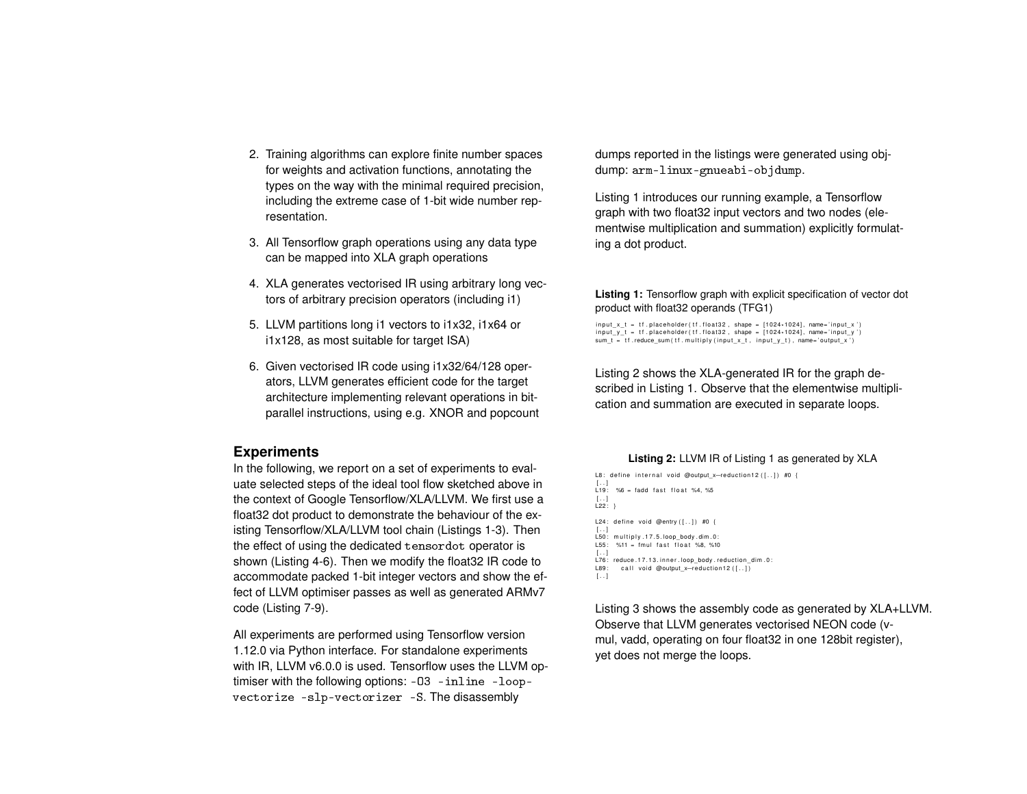- 2. Training algorithms can explore finite number spaces for weights and activation functions, annotating the types on the way with the minimal required precision, including the extreme case of 1-bit wide number representation.
- 3. All Tensorflow graph operations using any data type can be mapped into XLA graph operations
- 4. XLA generates vectorised IR using arbitrary long vectors of arbitrary precision operators (including i1)
- 5. LLVM partitions long i1 vectors to i1x32, i1x64 or i1x128, as most suitable for target ISA)
- 6. Given vectorised IR code using i1x32/64/128 operators, LLVM generates efficient code for the target architecture implementing relevant operations in bitparallel instructions, using e.g. XNOR and popcount

# **Experiments**

In the following, we report on a set of experiments to evaluate selected steps of the ideal tool flow sketched above in the context of Google Tensorflow/XLA/LLVM. We first use a float32 dot product to demonstrate the behaviour of the existing Tensorflow/XLA/LLVM tool chain (Listings 1-3). Then the effect of using the dedicated tensordot operator is shown (Listing 4-6). Then we modify the float32 IR code to accommodate packed 1-bit integer vectors and show the effect of LLVM optimiser passes as well as generated ARMv7 code (Listing 7-9).

All experiments are performed using Tensorflow version 1.12.0 via Python interface. For standalone experiments with IR, LLVM v6.0.0 is used. Tensorflow uses the LLVM optimiser with the following options: -O3 -inline -loopvectorize -slp-vectorizer -S. The disassembly

dumps reported in the listings were generated using objdump: arm-linux-gnueabi-objdump.

Listing 1 introduces our running example, a Tensorflow graph with two float32 input vectors and two nodes (elementwise multiplication and summation) explicitly formulating a dot product.

# **Listing 1:** Tensorflow graph with explicit specification of vector dot product with float32 operands (TFG1)

 $\small{\textsf{input\_x\_t = tf}}$  .placeholder(tf.float32, shape = [1024\*1024], name='input\_x')  $\small{\textsf{input\_y\_t = tf}}$  .placeholder(tf.float32, shape = [1024\*1024], name='input\_y')  $sum_t = tf$  . reduce\_sum (  $tf$  . multiply (input\_x\_t , input\_y\_t) , name='output\_x')

Listing 2 shows the XLA-generated IR for the graph described in Listing 1. Observe that the elementwise multiplication and summation are executed in separate loops.

#### **Listing 2:** LLVM IR of Listing 1 as generated by XLA

L8: define internal void @output\_x-reduction12([..]) #0 { [..]<br>L19: %6 = fadd fast float %4,%5 [ . . ] L22 : } L24: define void @entry  $([-..])$  #0 { [..]<br>L50: multiply.17.5.loop\_body.dim.0:  $L55:$  %11 = fmul fast float %8, %10 [ . . ] L76: reduce .17.13. inner . loop\_body . reduction\_dim .0: L89: call void @output\_x-reduction12 ([..])  $\left[ \ldots \right]$ 

Listing 3 shows the assembly code as generated by XLA+LLVM. Observe that LLVM generates vectorised NEON code (vmul, vadd, operating on four float32 in one 128bit register), yet does not merge the loops.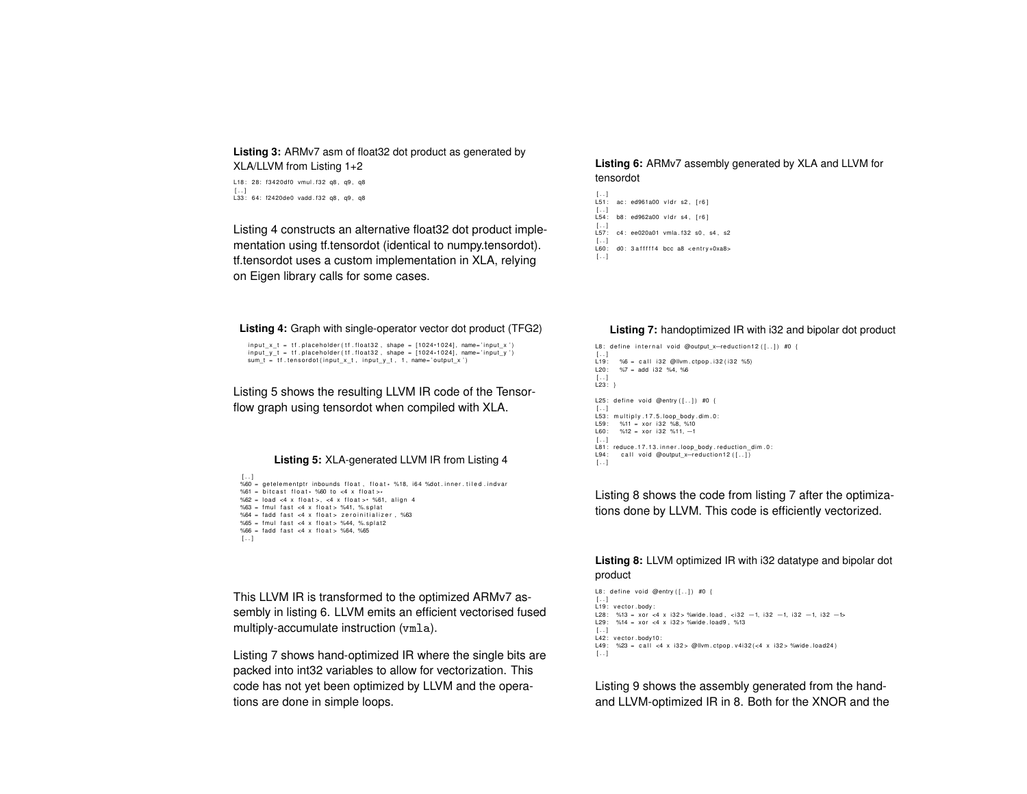**Listing 3:** ARMv7 asm of float32 dot product as generated by XLA/LLVM from Listing 1+2

L18: 28: f3420df0 vmul. f32 q8, q9, q8 [ . . ] L33 : 64: f2420de0 vadd . f32 q8 , q9 , q8

Listing 4 constructs an alternative float32 dot product implementation using tf.tensordot (identical to numpy.tensordot). tf.tensordot uses a custom implementation in XLA, relying on Eigen library calls for some cases.

## **Listing 6:** ARMv7 assembly generated by XLA and LLVM for tensordot

```
[..]<br>L51:  ac: ed961a00 vldr s2, [r6]
\begin{bmatrix} 0 & 1 \\ 0 & 1 \end{bmatrix}b8: ed962a00 vidr s4, [r6]
\begin{bmatrix} 1 & 0 \\ 0 & 0 \end{bmatrix}c4: ee020a01 vmla. f32 s0, s4, s2
[ . . ]
         d0: 3 a f f f f 4 bcc a8 < entry +0xa8>
[ \, . \, . \, ]
```
#### **Listing 4:** Graph with single-operator vector dot product (TFG2)

input\_x\_t = tf.placeholder(tf.float32, shape = [1024\*1024], name='input\_x')<br>input\_y\_t = tf.placeholder(tf.float32, shape = [1024\*1024], name='input\_y')  $sum_t = tf·tensordot(input_x_t, input_y_t, 1, name='output_x')$ 

Listing 5 shows the resulting LLVM IR code of the Tensorflow graph using tensordot when compiled with XLA.

#### **Listing 5:** XLA-generated LLVM IR from Listing 4

```
[ . . . ]\%60 = getelementptr inbounds float, float\star %18, i64 %dot.inner.tiled.indvar
%61 = bitcast float* %60 to <4 x float>*
%62 = load \le 4 \times float >, \le 4 \times float > * %61, align 4
%63 = fmul fast <4 x float > %41, %splat
%64 = fadd fast <4 x float > zeroinitializer, %63%65 = fmul fast <4 x float > %44, %.splat2
%66 = fadd fast <4 x float > %64. %65[ . . ]
```
This LLVM IR is transformed to the optimized ARMv7 assembly in listing 6. LLVM emits an efficient vectorised fused multiply-accumulate instruction (vmla).

Listing 7 shows hand-optimized IR where the single bits are packed into int32 variables to allow for vectorization. This code has not yet been optimized by LLVM and the operations are done in simple loops.

#### **Listing 7:** handoptimized IR with i32 and bipolar dot product

```
L8: define internal void @output x-reduction12 ([..]) #0 {
[ . . ]
L<sub>19</sub> : \frac{96}{6} = call i32 @llvm.ctpop.i32(i32 %5)<br>L190: %7 = add i32 %4. %6
         \%7 = add i32 \%4, %6
 [ . . ]
L23 : }
L25: define void @entry ([-..]) #0 {
 [..]<br>L53: multiply.17.5.loop_body.dim.0:
L59: \frac{9}{1} = xor i 32 %8, %10<br>L60: %12 = xor i 32 %11. -1
        %12 = xor i32 %11, -1
[ . . 1]L81: reduce .17.13. inner .loop_body .reduction_dim .0:<br>L94: call void @outout x-reduction12([..])
        call void @output_x-reduction12 ([-.][ \dots ]
```
Listing 8 shows the code from listing 7 after the optimizations done by LLVM. This code is efficiently vectorized.

#### **Listing 8:** LLVM optimized IR with i32 datatype and bipolar dot product

```
L8: define void @entry ([-..]) #0 {
[ . . ]
 L19: vector.body:<br>L28:  %13 = xor <4 x i32> %wide.load, <i32 −1, i32 −1, i32 −1, i32 −1⊳
L29: %14 = xor <4 x i32 > %wide . load9, %13
[ . . ]
L42: vector body10:<br>149: %23 = call *4L49 : %23 = c a l l <4 x i32 > @llvm . ctpop . v4i32 ( <4 x i32 > %wide . load24 )
[ . . ]
```
Listing 9 shows the assembly generated from the handand LLVM-optimized IR in 8. Both for the XNOR and the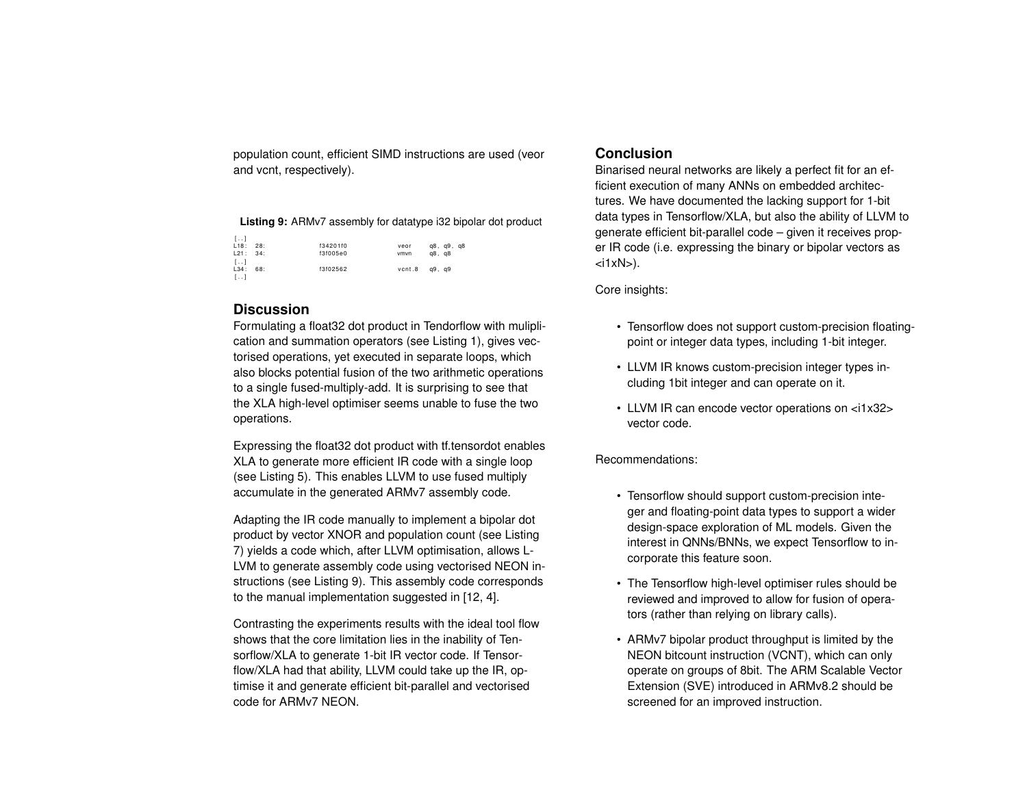population count, efficient SIMD instructions are used (veor and vcnt, respectively).

**Listing 9:** ARMv7 assembly for datatype i32 bipolar dot product

| L. 1                    |          |        |            |
|-------------------------|----------|--------|------------|
| L18: 28:                | f34201f0 | veor   | g8, g9, g8 |
| L21: 34:                | f3f005e0 | vmvn   | q8, q8     |
| $\left[ \ldots \right]$ |          |        |            |
| L34: 68:                | f3f02562 | vcnt.8 | q9. q9     |
| $[\, . \, . \, ]$       |          |        |            |

# **Discussion**

Formulating a float32 dot product in Tendorflow with muliplication and summation operators (see Listing 1), gives vectorised operations, yet executed in separate loops, which also blocks potential fusion of the two arithmetic operations to a single fused-multiply-add. It is surprising to see that the XLA high-level optimiser seems unable to fuse the two operations.

Expressing the float32 dot product with tf.tensordot enables XLA to generate more efficient IR code with a single loop (see Listing 5). This enables LLVM to use fused multiply accumulate in the generated ARMv7 assembly code.

Adapting the IR code manually to implement a bipolar dot product by vector XNOR and population count (see Listing 7) yields a code which, after LLVM optimisation, allows L-LVM to generate assembly code using vectorised NEON instructions (see Listing 9). This assembly code corresponds to the manual implementation suggested in [12, 4].

Contrasting the experiments results with the ideal tool flow shows that the core limitation lies in the inability of Tensorflow/XLA to generate 1-bit IR vector code. If Tensorflow/XLA had that ability, LLVM could take up the IR, optimise it and generate efficient bit-parallel and vectorised code for ARMv7 NEON.

# **Conclusion**

Binarised neural networks are likely a perfect fit for an efficient execution of many ANNs on embedded architectures. We have documented the lacking support for 1-bit data types in Tensorflow/XLA, but also the ability of LLVM to generate efficient bit-parallel code – given it receives proper IR code (i.e. expressing the binary or bipolar vectors as  $\langle$ i1xN $>$ ).

Core insights:

- Tensorflow does not support custom-precision floatingpoint or integer data types, including 1-bit integer.
- LLVM IR knows custom-precision integer types including 1bit integer and can operate on it.
- LLVM IR can encode vector operations on <i1x32> vector code.

Recommendations:

- Tensorflow should support custom-precision integer and floating-point data types to support a wider design-space exploration of ML models. Given the interest in QNNs/BNNs, we expect Tensorflow to incorporate this feature soon.
- The Tensorflow high-level optimiser rules should be reviewed and improved to allow for fusion of operators (rather than relying on library calls).
- ARMv7 bipolar product throughput is limited by the NEON bitcount instruction (VCNT), which can only operate on groups of 8bit. The ARM Scalable Vector Extension (SVE) introduced in ARMv8.2 should be screened for an improved instruction.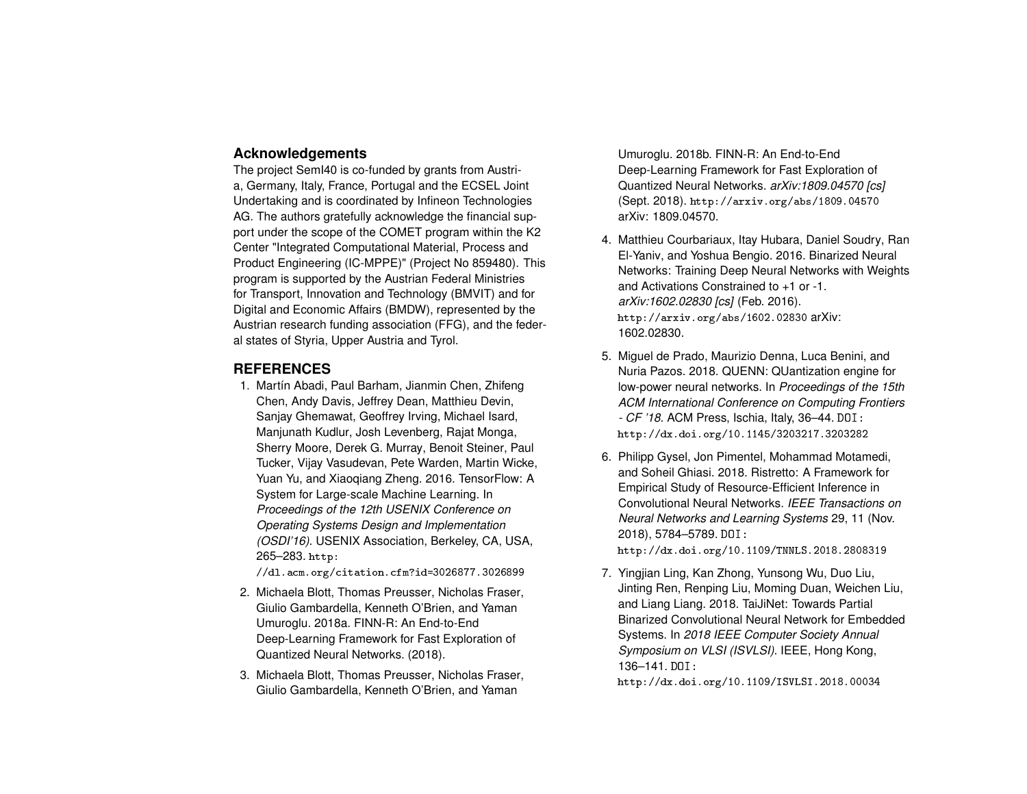# **Acknowledgements**

The project SemI40 is co-funded by grants from Austria, Germany, Italy, France, Portugal and the ECSEL Joint Undertaking and is coordinated by Infineon Technologies AG. The authors gratefully acknowledge the financial support under the scope of the COMET program within the K2 Center "Integrated Computational Material, Process and Product Engineering (IC-MPPE)" (Project No 859480). This program is supported by the Austrian Federal Ministries for Transport, Innovation and Technology (BMVIT) and for Digital and Economic Affairs (BMDW), represented by the Austrian research funding association (FFG), and the federal states of Styria, Upper Austria and Tyrol.

# **REFERENCES**

1. Martín Abadi, Paul Barham, Jianmin Chen, Zhifeng Chen, Andy Davis, Jeffrey Dean, Matthieu Devin, Sanjay Ghemawat, Geoffrey Irving, Michael Isard, Manjunath Kudlur, Josh Levenberg, Rajat Monga, Sherry Moore, Derek G. Murray, Benoit Steiner, Paul Tucker, Vijay Vasudevan, Pete Warden, Martin Wicke, Yuan Yu, and Xiaoqiang Zheng. 2016. TensorFlow: A System for Large-scale Machine Learning. In *Proceedings of the 12th USENIX Conference on Operating Systems Design and Implementation (OSDI'16)*. USENIX Association, Berkeley, CA, USA, 265–283. http:

//dl.acm.org/citation.cfm?id=3026877.3026899

- 2. Michaela Blott, Thomas Preusser, Nicholas Fraser, Giulio Gambardella, Kenneth O'Brien, and Yaman Umuroglu. 2018a. FINN-R: An End-to-End Deep-Learning Framework for Fast Exploration of Quantized Neural Networks. (2018).
- 3. Michaela Blott, Thomas Preusser, Nicholas Fraser, Giulio Gambardella, Kenneth O'Brien, and Yaman

Umuroglu. 2018b. FINN-R: An End-to-End Deep-Learning Framework for Fast Exploration of Quantized Neural Networks. *arXiv:1809.04570 [cs]* (Sept. 2018). http://arxiv.org/abs/1809.04570 arXiv: 1809.04570.

- 4. Matthieu Courbariaux, Itay Hubara, Daniel Soudry, Ran El-Yaniv, and Yoshua Bengio. 2016. Binarized Neural Networks: Training Deep Neural Networks with Weights and Activations Constrained to +1 or -1. *arXiv:1602.02830 [cs]* (Feb. 2016). http://arxiv.org/abs/1602.02830 arXiv: 1602.02830.
- 5. Miguel de Prado, Maurizio Denna, Luca Benini, and Nuria Pazos. 2018. QUENN: QUantization engine for low-power neural networks. In *Proceedings of the 15th ACM International Conference on Computing Frontiers - CF '18*. ACM Press, Ischia, Italy, 36–44. DOI: http://dx.doi.org/10.1145/3203217.3203282
- 6. Philipp Gysel, Jon Pimentel, Mohammad Motamedi, and Soheil Ghiasi. 2018. Ristretto: A Framework for Empirical Study of Resource-Efficient Inference in Convolutional Neural Networks. *IEEE Transactions on Neural Networks and Learning Systems* 29, 11 (Nov. 2018), 5784–5789. DOI: http://dx.doi.org/10.1109/TNNLS.2018.2808319
- 7. Yingjian Ling, Kan Zhong, Yunsong Wu, Duo Liu, Jinting Ren, Renping Liu, Moming Duan, Weichen Liu, and Liang Liang. 2018. TaiJiNet: Towards Partial Binarized Convolutional Neural Network for Embedded Systems. In *2018 IEEE Computer Society Annual Symposium on VLSI (ISVLSI)*. IEEE, Hong Kong, 136–141. DOI:

http://dx.doi.org/10.1109/ISVLSI.2018.00034